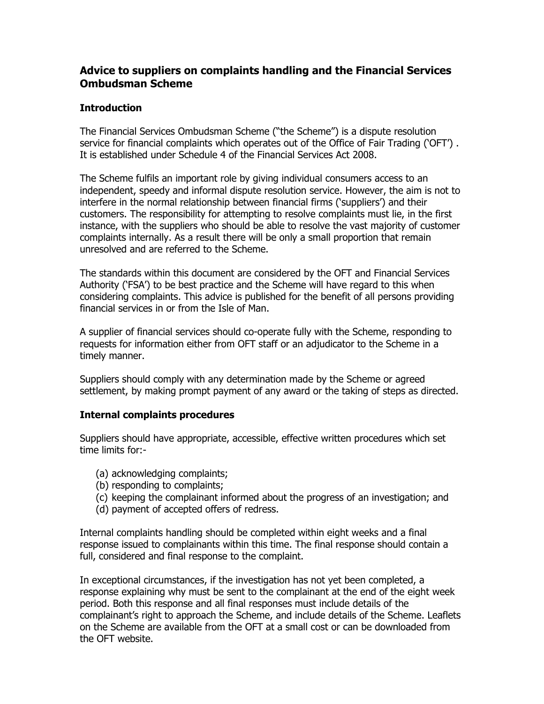## **Advice to suppliers on complaints handling and the Financial Services Ombudsman Scheme**

## **Introduction**

The Financial Services Ombudsman Scheme ("the Scheme") is a dispute resolution service for financial complaints which operates out of the Office of Fair Trading ('OFT') . It is established under Schedule 4 of the Financial Services Act 2008.

The Scheme fulfils an important role by giving individual consumers access to an independent, speedy and informal dispute resolution service. However, the aim is not to interfere in the normal relationship between financial firms ('suppliers') and their customers. The responsibility for attempting to resolve complaints must lie, in the first instance, with the suppliers who should be able to resolve the vast majority of customer complaints internally. As a result there will be only a small proportion that remain unresolved and are referred to the Scheme.

The standards within this document are considered by the OFT and Financial Services Authority ('FSA') to be best practice and the Scheme will have regard to this when considering complaints. This advice is published for the benefit of all persons providing financial services in or from the Isle of Man.

A supplier of financial services should co-operate fully with the Scheme, responding to requests for information either from OFT staff or an adjudicator to the Scheme in a timely manner.

Suppliers should comply with any determination made by the Scheme or agreed settlement, by making prompt payment of any award or the taking of steps as directed.

## **Internal complaints procedures**

Suppliers should have appropriate, accessible, effective written procedures which set time limits for:-

- (a) acknowledging complaints;
- (b) responding to complaints;
- (c) keeping the complainant informed about the progress of an investigation; and
- (d) payment of accepted offers of redress.

Internal complaints handling should be completed within eight weeks and a final response issued to complainants within this time. The final response should contain a full, considered and final response to the complaint.

In exceptional circumstances, if the investigation has not yet been completed, a response explaining why must be sent to the complainant at the end of the eight week period. Both this response and all final responses must include details of the complainant's right to approach the Scheme, and include details of the Scheme. Leaflets on the Scheme are available from the OFT at a small cost or can be downloaded from the OFT website.